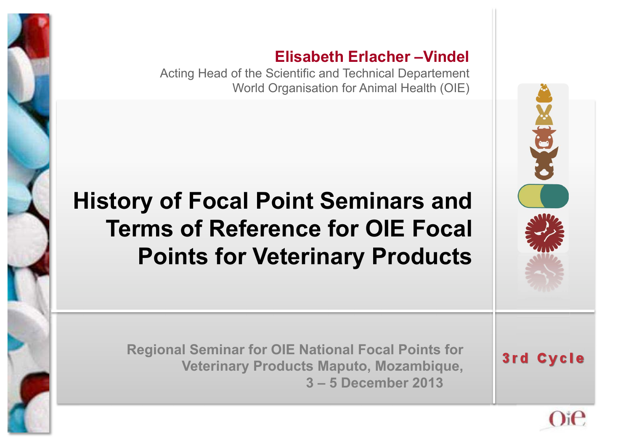

#### **Elisabeth Erlacher –Vindel**

Acting Head of the Scientific and Technical Departement World Organisation for Animal Health (OIE)

#### **History of Focal Point Seminars and Terms of Reference for OIE Focal Points for Veterinary Products**

**Regional Seminar for OIE National Focal Points for Veterinary Products Maputo, Mozambique, 3 – 5 December 2013** 



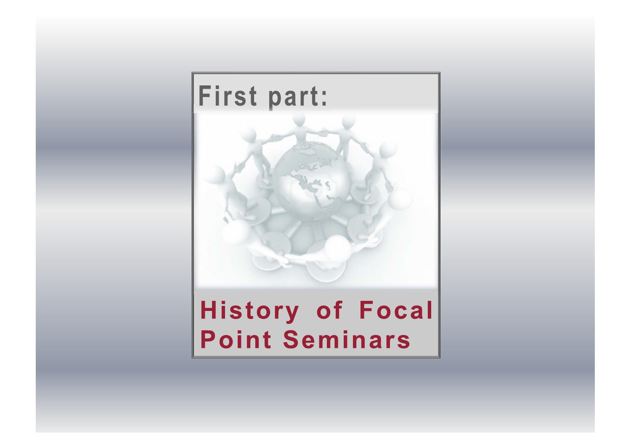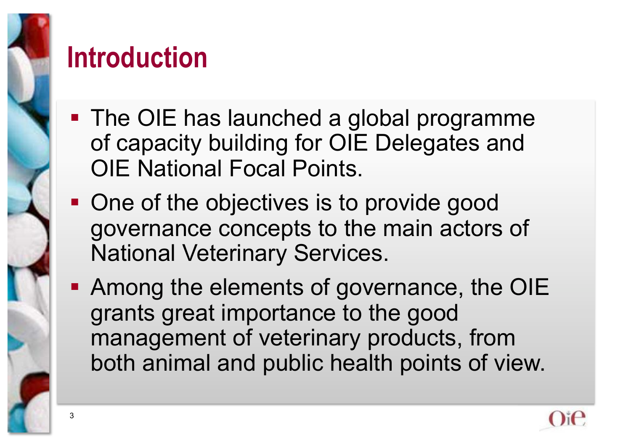

#### **Introduction**

- The OIE has launched a global programme of capacity building for OIE Delegates and OIE National Focal Points.
- One of the objectives is to provide good governance concepts to the main actors of National Veterinary Services.
- **Among the elements of governance, the OIE** grants great importance to the good management of veterinary products, from both animal and public health points of view.

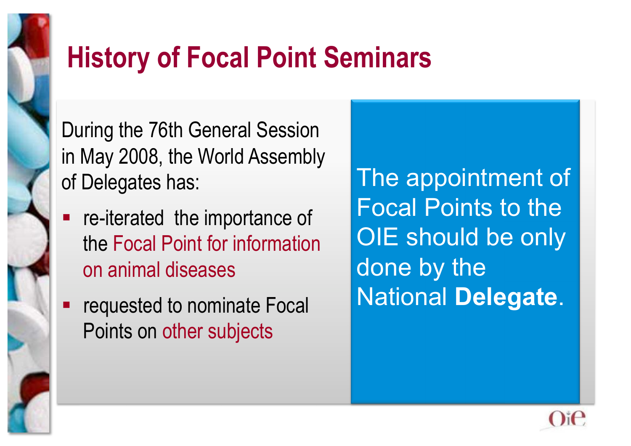

During the 76th General Session in May 2008, the World Assembly of Delegates has:

- re-iterated the importance of the Focal Point for information on animal diseases
- requested to nominate Focal Points on other subjects

The appointment of Focal Points to the OIE should be only done by the National **Delegate**.

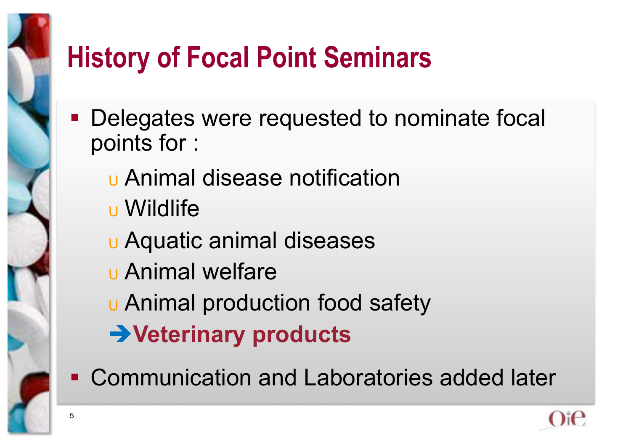- **Delegates were requested to nominate focal** points for :
	- <sup>U</sup> Animal disease notification
	- <sup>U</sup> Wildlife
	- <sup>U</sup> Aquatic animal diseases
	- <sup>U</sup> Animal welfare
	- <sup>U</sup> Animal production food safety
	- **Veterinary products**
- Communication and Laboratories added later

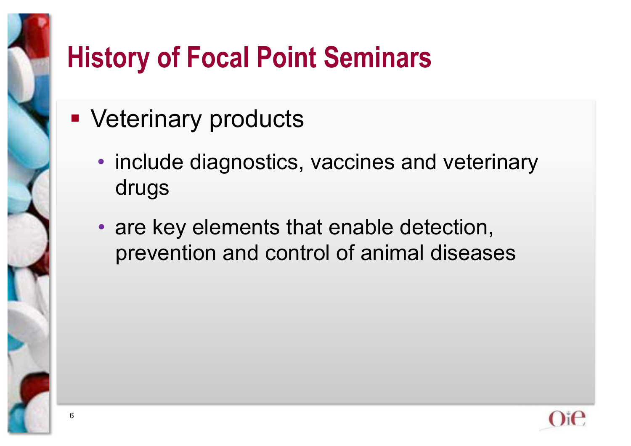- **Veterinary products** 
	- include diagnostics, vaccines and veterinary drugs
	- are key elements that enable detection, prevention and control of animal diseases

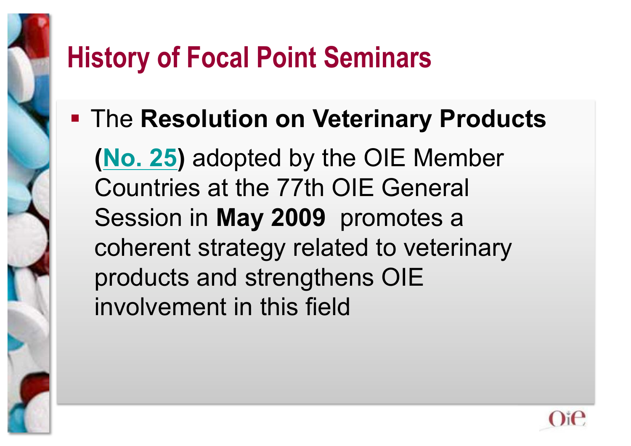**Farther Resolution on Veterinary Products** 

**(No. 25)** adopted by the OIE Member Countries at the 77th OIE General Session in **May 2009** promotes a coherent strategy related to veterinary products and strengthens OIE involvement in this field

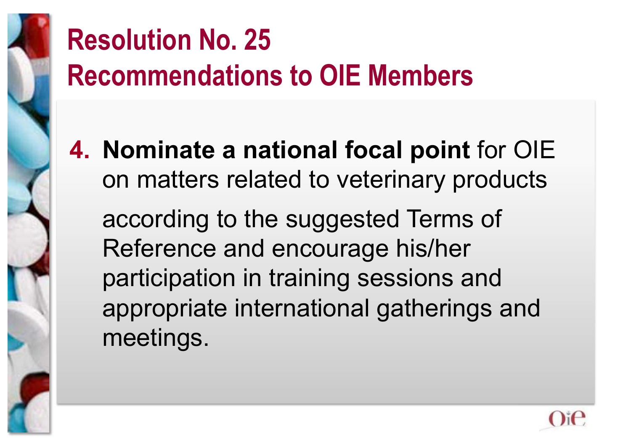

## **Resolution No. 25 Recommendations to OIE Members**

**4. Nominate a national focal point** for OIE on matters related to veterinary products

 according to the suggested Terms of Reference and encourage his/her participation in training sessions and appropriate international gatherings and meetings.

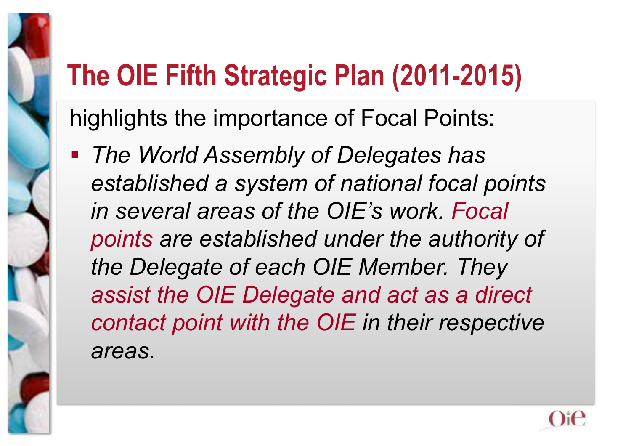## **The OIE Fifth Strategic Plan (2011-2015)**

highlights the importance of Focal Points:

 *The World Assembly of Delegates has established a system of national focal points in several areas of the OIE's work. Focal points are established under the authority of the Delegate of each OIE Member. They assist the OIE Delegate and act as a direct contact point with the OIE in their respective areas*.

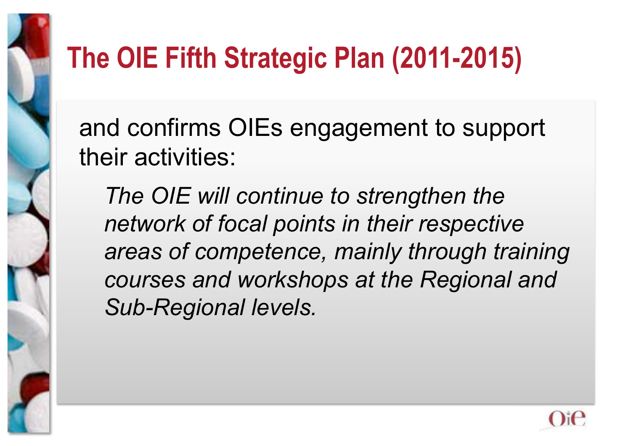

## **The OIE Fifth Strategic Plan (2011-2015)**

and confirms OIEs engagement to support their activities:

*The OIE will continue to strengthen the network of focal points in their respective areas of competence, mainly through training courses and workshops at the Regional and Sub-Regional levels.* 

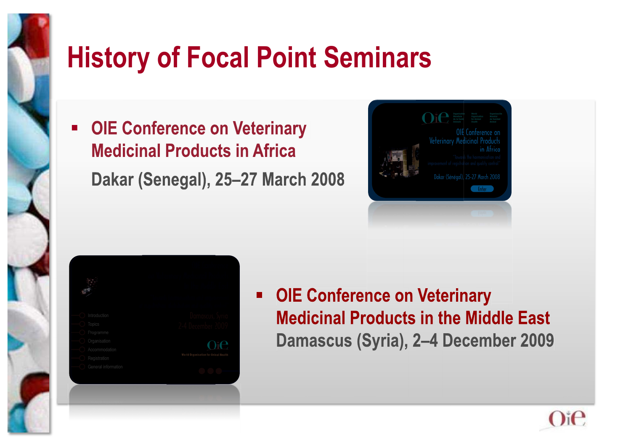

 **OIE Conference on Veterinary Medicinal Products in Africa Dakar (Senegal), 25–27 March 2008 2008**





 **OIE Conference on Veterinary Medicinal Products in the Middle East Damascus (Syria), 2–4 December 2009** 

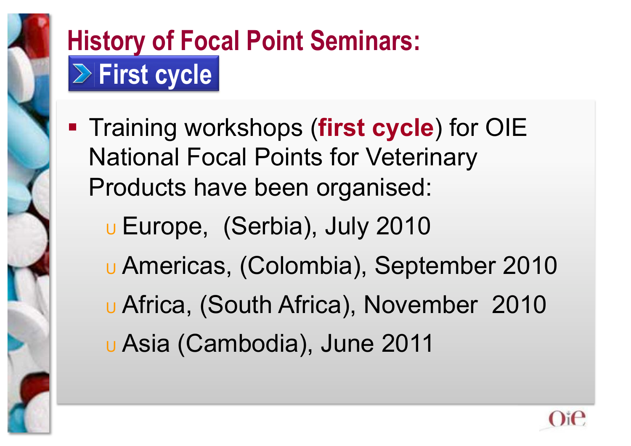

## **History of Focal Point Seminars: First cycle**

- **Training workshops (first cycle) for OIE** National Focal Points for Veterinary Products have been organised:
	- <sup>U</sup> Europe, (Serbia), July 2010 <sup>U</sup> Americas, (Colombia), September 2010 <sup>U</sup> Africa, (South Africa), November 2010 <sup>U</sup> Asia (Cambodia), June 2011

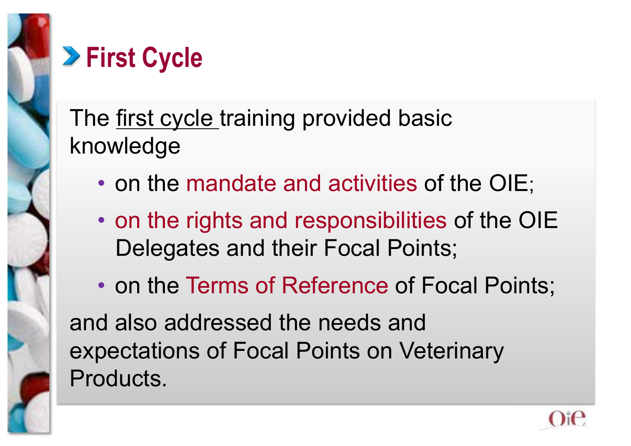

#### **First Cycle**

The first cycle training provided basic knowledge

- on the mandate and activities of the OIE;
- on the rights and responsibilities of the OIE Delegates and their Focal Points;
- on the Terms of Reference of Focal Points;

and also addressed the needs and expectations of Focal Points on Veterinary Products.

![](_page_12_Picture_7.jpeg)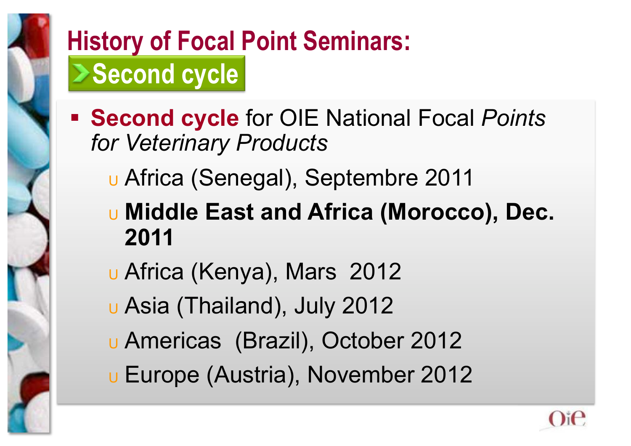![](_page_13_Picture_0.jpeg)

#### **History of Focal Point Seminars: Second cycle**

- **Second cycle** for OIE National Focal *Points for Veterinary Products*
	- <sup>U</sup> Africa (Senegal), Septembre 2011
	- <sup>U</sup> **Middle East and Africa (Morocco), Dec. 2011**
	- <sup>U</sup> Africa (Kenya), Mars 2012
	- <sup>U</sup> Asia (Thailand), July 2012
	- <sup>U</sup> Americas (Brazil), October 2012
	- <sup>U</sup> Europe (Austria), November 2012

![](_page_13_Picture_9.jpeg)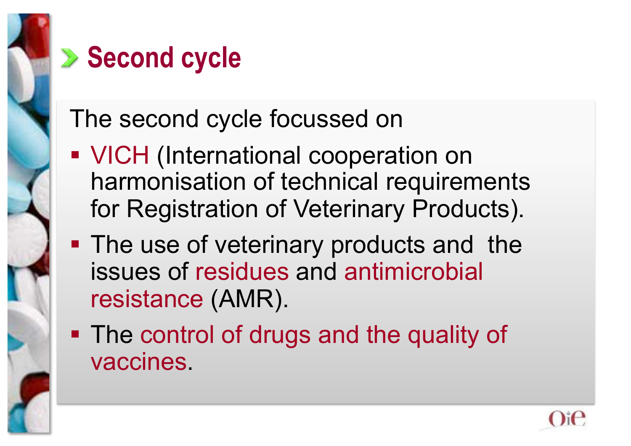![](_page_14_Figure_0.jpeg)

#### **Execond cycle**

The second cycle focussed on

- **VICH (International cooperation on** harmonisation of technical requirements for Registration of Veterinary Products).
- **The use of veterinary products and the** issues of residues and antimicrobial resistance (AMR).
- **The control of drugs and the quality of** vaccines.

![](_page_14_Picture_6.jpeg)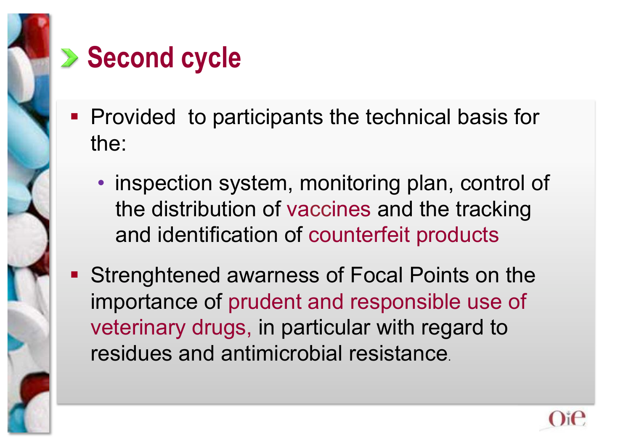![](_page_15_Figure_0.jpeg)

## **Execond cycle**

- **Provided to participants the technical basis for** the:
	- inspection system, monitoring plan, control of the distribution of vaccines and the tracking and identification of counterfeit products
- Strenghtened awarness of Focal Points on the importance of prudent and responsible use of veterinary drugs, in particular with regard to residues and antimicrobial resistance.

![](_page_15_Picture_5.jpeg)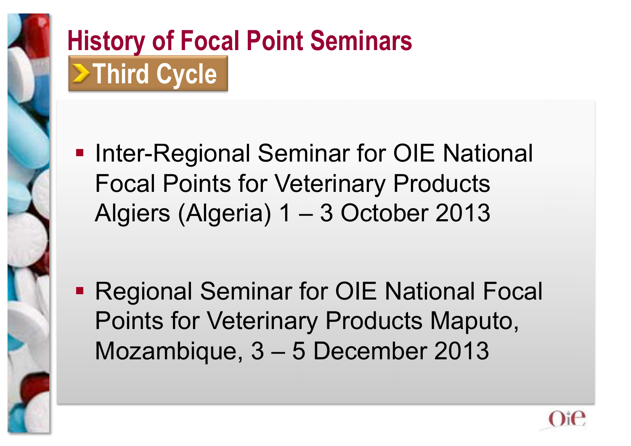![](_page_16_Picture_0.jpeg)

## **History of Focal Point Seminars >Third Cycle**

**- Inter-Regional Seminar for OIE National** Focal Points for Veterinary Products Algiers (Algeria) 1 – 3 October 2013

**- Regional Seminar for OIE National Focal** Points for Veterinary Products Maputo, Mozambique, 3 – 5 December 2013

![](_page_16_Picture_4.jpeg)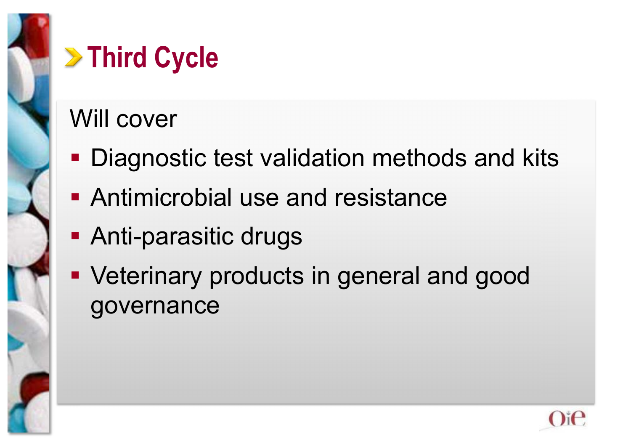![](_page_17_Picture_0.jpeg)

## **Example 2 Third Cycle**

#### Will cover

- **Diagnostic test validation methods and kits**
- **Antimicrobial use and resistance**
- **Anti-parasitic drugs**
- Veterinary products in general and good governance

![](_page_17_Picture_7.jpeg)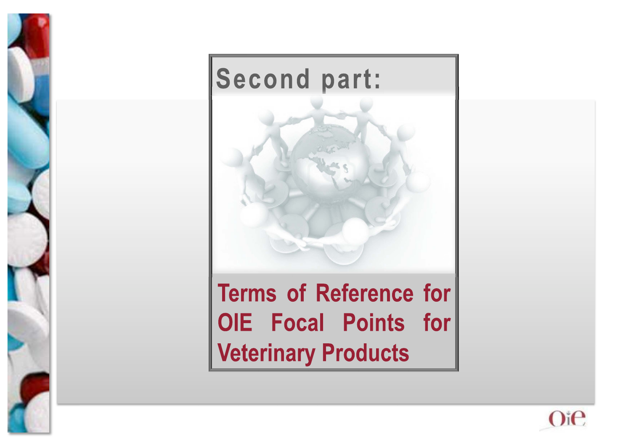![](_page_18_Picture_0.jpeg)

![](_page_18_Picture_1.jpeg)

**OIE Focal Points for Veterinary Products** 

![](_page_18_Picture_3.jpeg)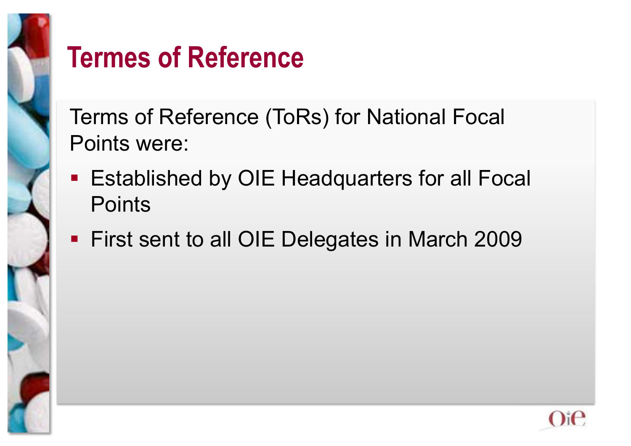![](_page_19_Picture_0.jpeg)

### **Termes of Reference**

Terms of Reference (ToRs) for National Focal Points were:

- **Established by OIE Headquarters for all Focal Points**
- **First sent to all OIE Delegates in March 2009**

![](_page_19_Picture_5.jpeg)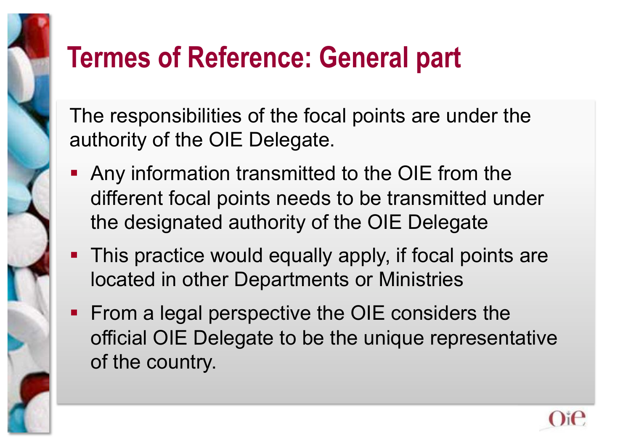## **Termes of Reference: General part**

The responsibilities of the focal points are under the authority of the OIE Delegate.

- Any information transmitted to the OIE from the different focal points needs to be transmitted under the designated authority of the OIE Delegate
- **This practice would equally apply, if focal points are** located in other Departments or Ministries
- **From a legal perspective the OIE considers the** official OIE Delegate to be the unique representative of the country.

![](_page_20_Picture_5.jpeg)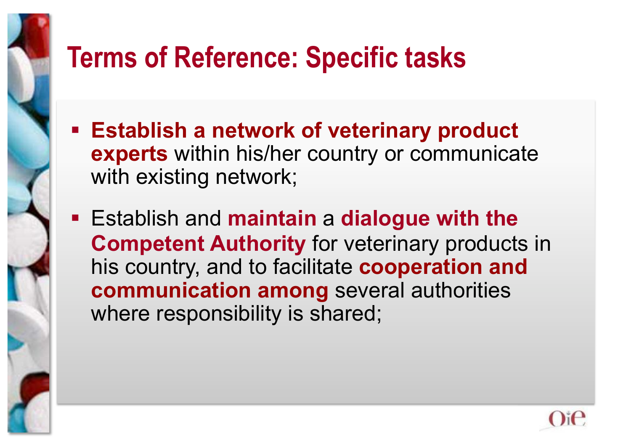## **Terms of Reference: Specific tasks**

- **Establish a network of veterinary product experts** within his/her country or communicate with existing network;
- Establish and **maintain** a **dialogue with the Competent Authority** for veterinary products in his country, and to facilitate **cooperation and communication among** several authorities where responsibility is shared;

![](_page_21_Picture_3.jpeg)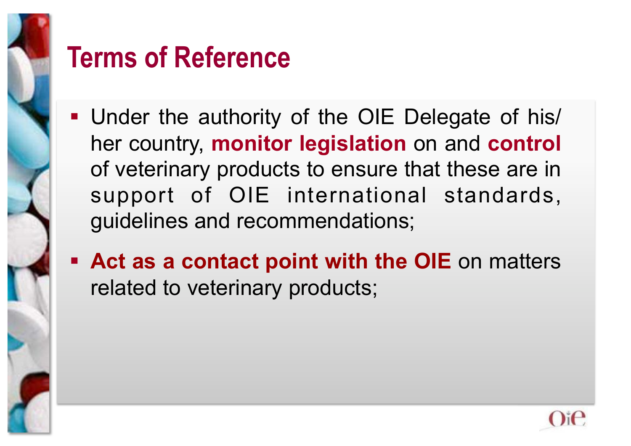![](_page_22_Picture_0.jpeg)

#### **Terms of Reference**

- Under the authority of the OIE Delegate of his/ her country, **monitor legislation** on and **control** of veterinary products to ensure that these are in support of OIE international standards, guidelines and recommendations;
- **Act as a contact point with the OIE** on matters related to veterinary products;

![](_page_22_Picture_4.jpeg)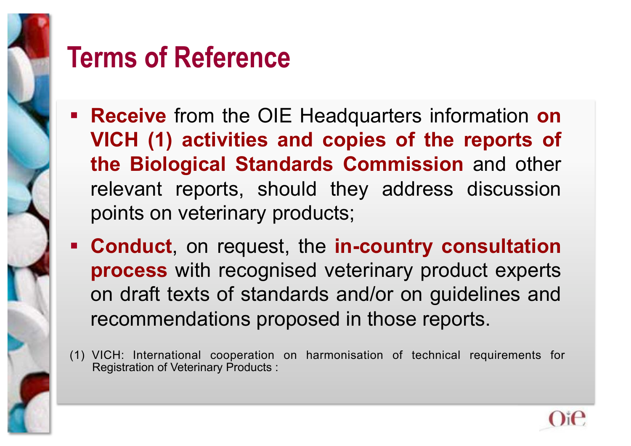![](_page_23_Picture_0.jpeg)

#### **Terms of Reference**

- **Receive** from the OIE Headquarters information **on VICH (1) activities and copies of the reports of the Biological Standards Commission** and other relevant reports, should they address discussion points on veterinary products;
- **Conduct**, on request, the **in-country consultation process** with recognised veterinary product experts on draft texts of standards and/or on guidelines and recommendations proposed in those reports.
- (1) VICH: International cooperation on harmonisation of technical requirements for Registration of Veterinary Products :

![](_page_23_Picture_5.jpeg)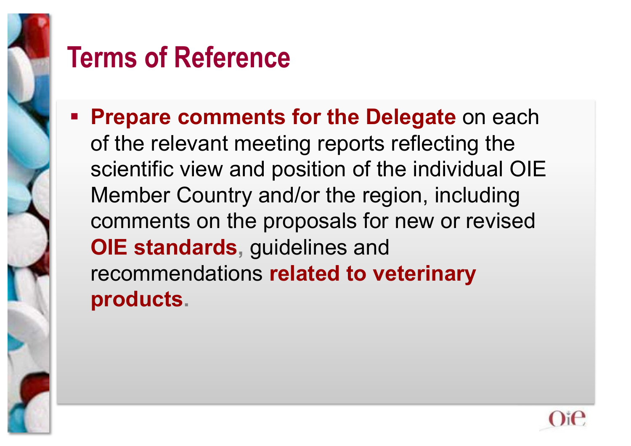![](_page_24_Picture_0.jpeg)

#### **Terms of Reference**

**Prepare comments for the Delegate** on each of the relevant meeting reports reflecting the scientific view and position of the individual OIE Member Country and/or the region, including comments on the proposals for new or revised **OIE standards, guidelines and** recommendations **related to veterinary products.** 

![](_page_24_Picture_3.jpeg)